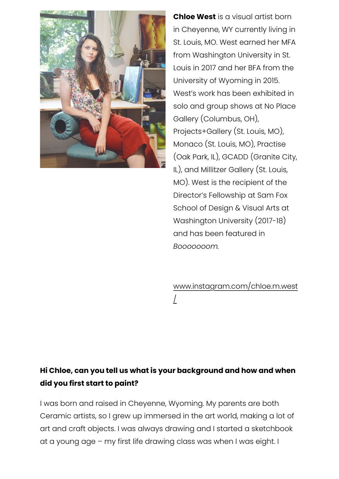

**Chloe West** is a visual artist born in Cheyenne, WY currently living in St. Louis, MO. West earned her MFA from Washington University in St. Louis in 2017 and her BFA from the University of Wyoming in 2015. West's work has been exhibited in solo and group shows at No Place Gallery (Columbus, OH), Projects+Gallery (St. Louis, MO), Monaco (St. Louis, MO), Practise (Oak Park, IL), GCADD (Granite City, IL), and Millitzer Gallery (St. Louis, MO). West is the recipient of the Director's Fellowship at Sam Fox School of Design & Visual Arts at Washington University (2017-18) and has been featured in *Booooooom.*

# [www.instagram.com/chloe.m.west](https://www.instagram.com/chloe.m.west/) /

# **Hi Chloe, can you tell us what is your background and how and when did you first start to paint?**

I was born and raised in Cheyenne, Wyoming. My parents are both Ceramic artists, so I grew up immersed in the art world, making a lot of art and craft objects. I was always drawing and I started a sketchbook at a young age – my first life drawing class was when I was eight. I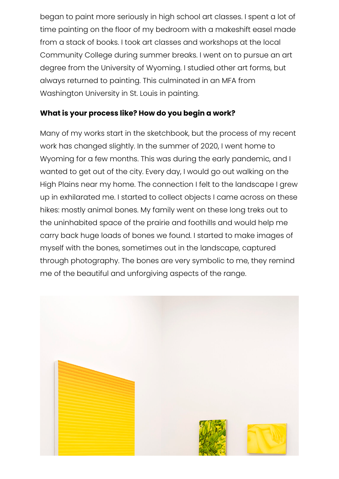began to paint more seriously in high school art classes. I spent a lot of time painting on the floor of my bedroom with a makeshift easel made from a stack of books. I took art classes and workshops at the local Community College during summer breaks. I went on to pursue an art degree from the University of Wyoming. I studied other art forms, but always returned to painting. This culminated in an MFA from Washington University in St. Louis in painting.

#### **What is your process like? How do you begin a work?**

Many of my works start in the sketchbook, but the process of my recent work has changed slightly. In the summer of 2020, I went home to Wyoming for a few months. This was during the early pandemic, and I wanted to get out of the city. Every day, I would go out walking on the High Plains near my home. The connection I felt to the landscape I grew up in exhilarated me. I started to collect objects I came across on these hikes: mostly animal bones. My family went on these long treks out to the uninhabited space of the prairie and foothills and would help me carry back huge loads of bones we found. I started to make images of myself with the bones, sometimes out in the landscape, captured through photography. The bones are very symbolic to me, they remind me of the beautiful and unforgiving aspects of the range.

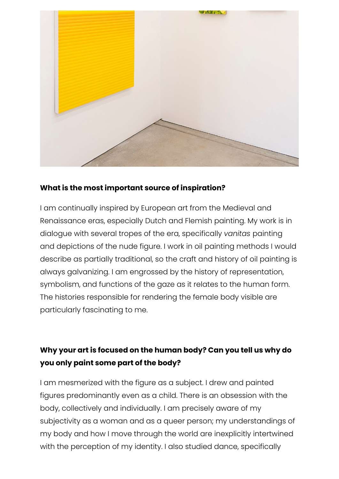

#### **What is the most important source of inspiration?**

I am continually inspired by European art from the Medieval and Renaissance eras, especially Dutch and Flemish painting. My work is in dialogue with several tropes of the era, specifically *vanitas* painting and depictions of the nude figure. I work in oil painting methods I would describe as partially traditional, so the craft and history of oil painting is always galvanizing. I am engrossed by the history of representation, symbolism, and functions of the gaze as it relates to the human form. The histories responsible for rendering the female body visible are particularly fascinating to me.

## **Why your art is focused on the human body? Can you tell us why do you only paint some part of the body?**

I am mesmerized with the figure as a subject. I drew and painted figures predominantly even as a child. There is an obsession with the body, collectively and individually. I am precisely aware of my subjectivity as a woman and as a queer person; my understandings of my body and how I move through the world are inexplicitly intertwined with the perception of my identity. I also studied dance, specifically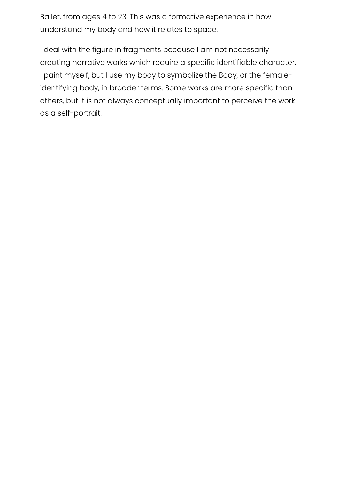Ballet, from ages 4 to 23. This was a formative experience in how I understand my body and how it relates to space.

I deal with the figure in fragments because I am not necessarily creating narrative works which require a specific identifiable character. I paint myself, but I use my body to symbolize the Body, or the femaleidentifying body, in broader terms. Some works are more specific than others, but it is not always conceptually important to perceive the work as a self-portrait.